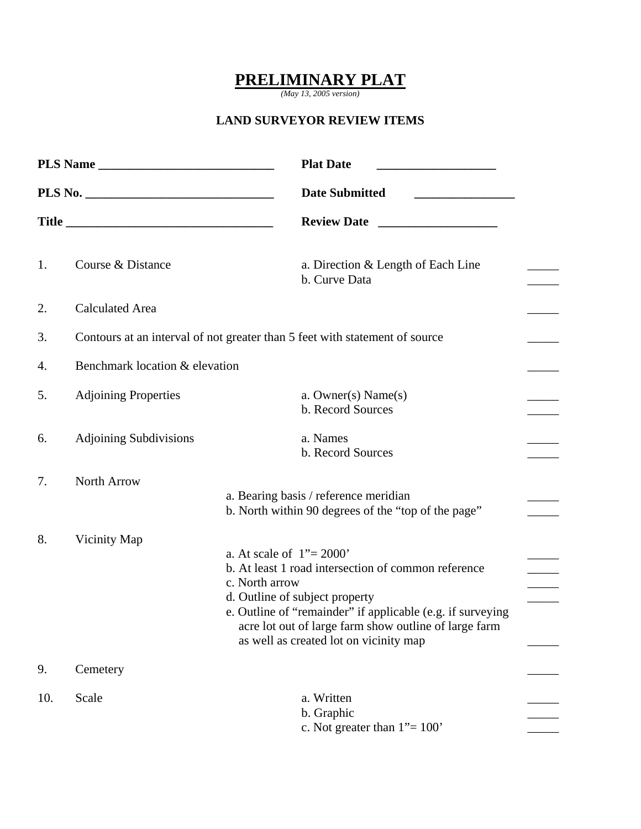## **PRELIMINARY PLAT**

*(May 13, 2005 version)* 

## **LAND SURVEYOR REVIEW ITEMS**

| <b>Plat Date</b><br><b>Date Submitted</b> |                                |                                                                                                                                                                                                                                                                                                         |  |  |  |
|-------------------------------------------|--------------------------------|---------------------------------------------------------------------------------------------------------------------------------------------------------------------------------------------------------------------------------------------------------------------------------------------------------|--|--|--|
|                                           |                                |                                                                                                                                                                                                                                                                                                         |  |  |  |
|                                           |                                | <b>Review Date</b>                                                                                                                                                                                                                                                                                      |  |  |  |
| 1.                                        | Course & Distance              | a. Direction & Length of Each Line<br>b. Curve Data                                                                                                                                                                                                                                                     |  |  |  |
| 2.                                        | <b>Calculated Area</b>         |                                                                                                                                                                                                                                                                                                         |  |  |  |
| 3.                                        |                                | Contours at an interval of not greater than 5 feet with statement of source                                                                                                                                                                                                                             |  |  |  |
| 4.                                        | Benchmark location & elevation |                                                                                                                                                                                                                                                                                                         |  |  |  |
| 5.                                        | <b>Adjoining Properties</b>    | a. Owner(s) $Name(s)$<br>b. Record Sources                                                                                                                                                                                                                                                              |  |  |  |
| 6.                                        | <b>Adjoining Subdivisions</b>  | a. Names<br>b. Record Sources                                                                                                                                                                                                                                                                           |  |  |  |
| 7.                                        | North Arrow                    | a. Bearing basis / reference meridian<br>b. North within 90 degrees of the "top of the page"                                                                                                                                                                                                            |  |  |  |
| 8.                                        | Vicinity Map                   | a. At scale of $1" = 2000"$<br>b. At least 1 road intersection of common reference<br>c. North arrow<br>d. Outline of subject property<br>e. Outline of "remainder" if applicable (e.g. if surveying<br>acre lot out of large farm show outline of large farm<br>as well as created lot on vicinity map |  |  |  |
| 9.                                        | Cemetery                       |                                                                                                                                                                                                                                                                                                         |  |  |  |
| 10.                                       | Scale                          | a. Written<br>b. Graphic<br>c. Not greater than $1" = 100"$                                                                                                                                                                                                                                             |  |  |  |